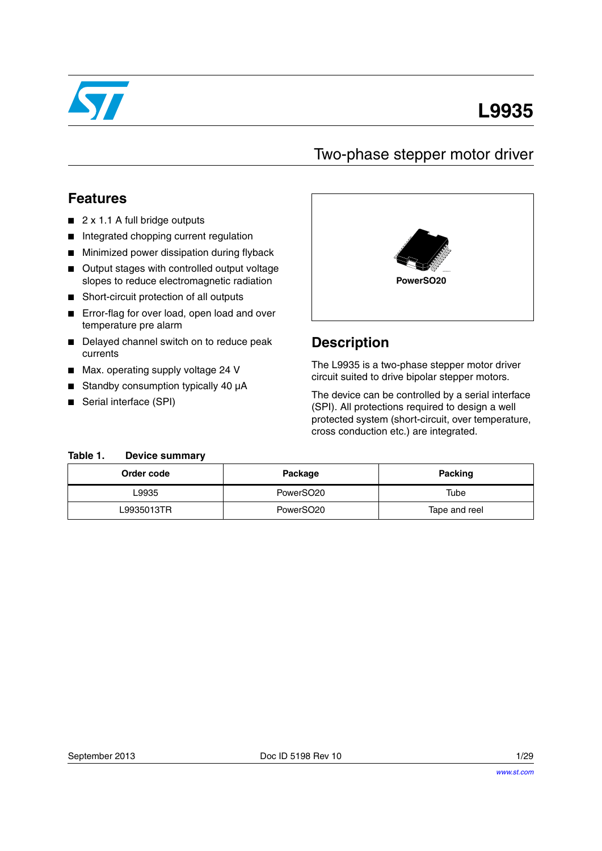

# **L9935**

## Two-phase stepper motor driver

## **Features**

- 2 x 1.1 A full bridge outputs
- Integrated chopping current regulation
- Minimized power dissipation during flyback
- Output stages with controlled output voltage slopes to reduce electromagnetic radiation
- Short-circuit protection of all outputs
- Error-flag for over load, open load and over temperature pre alarm
- Delayed channel switch on to reduce peak currents
- Max. operating supply voltage 24 V
- Standby consumption typically 40 µA
- Serial interface (SPI)



### **Description**

The L9935 is a two-phase stepper motor driver circuit suited to drive bipolar stepper motors.

The device can be controlled by a serial interface (SPI). All protections required to design a well protected system (short-circuit, over temperature, cross conduction etc.) are integrated.

#### <span id="page-0-0"></span>**Table 1. Device summary**

| Order code | Package               | <b>Packing</b> |  |  |
|------------|-----------------------|----------------|--|--|
| ∟9935      | PowerSO <sub>20</sub> | Tube           |  |  |
| L9935013TR | PowerSO <sub>20</sub> | Tape and reel  |  |  |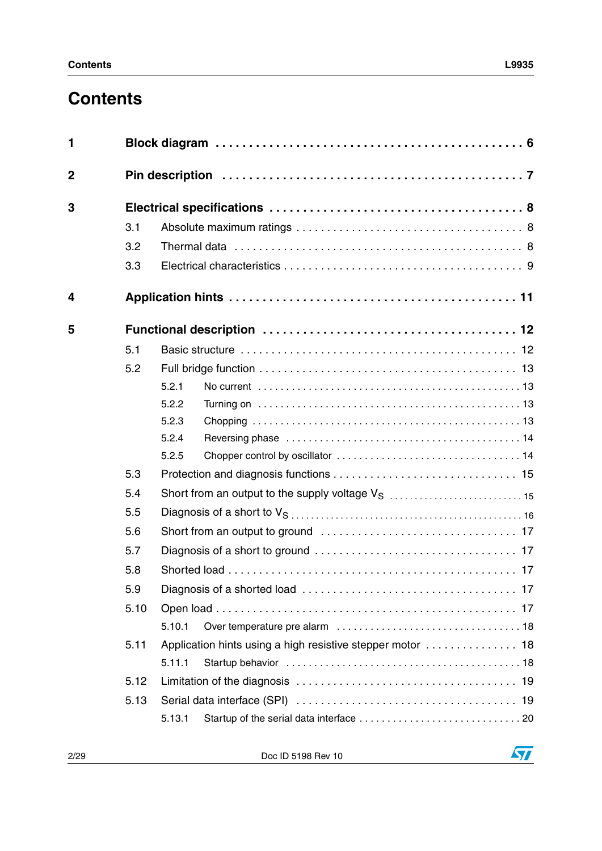# **Contents**

| $\mathbf{1}$   |      |                                                              |  |  |  |
|----------------|------|--------------------------------------------------------------|--|--|--|
| $\overline{2}$ |      |                                                              |  |  |  |
| 3              |      |                                                              |  |  |  |
|                | 3.1  |                                                              |  |  |  |
|                | 3.2  |                                                              |  |  |  |
|                | 3.3  |                                                              |  |  |  |
| 4              |      |                                                              |  |  |  |
| 5              |      |                                                              |  |  |  |
|                | 5.1  |                                                              |  |  |  |
|                | 5.2  |                                                              |  |  |  |
|                |      | 5.2.1                                                        |  |  |  |
|                |      | 5.2.2                                                        |  |  |  |
|                |      | 5.2.3                                                        |  |  |  |
|                |      | 5.2.4                                                        |  |  |  |
|                |      | 5.2.5                                                        |  |  |  |
|                | 5.3  |                                                              |  |  |  |
|                | 5.4  | Short from an output to the supply voltage V <sub>S</sub> 15 |  |  |  |
|                | 5.5  |                                                              |  |  |  |
|                | 5.6  |                                                              |  |  |  |
|                | 5.7  |                                                              |  |  |  |
|                | 5.8  |                                                              |  |  |  |
|                | 5.9  |                                                              |  |  |  |
|                | 5.10 |                                                              |  |  |  |
|                |      | 5.10.1                                                       |  |  |  |
|                | 5.11 |                                                              |  |  |  |
|                |      | 5.11.1                                                       |  |  |  |
|                | 5.12 |                                                              |  |  |  |
|                | 5.13 |                                                              |  |  |  |
|                |      | 5.13.1                                                       |  |  |  |
|                |      |                                                              |  |  |  |

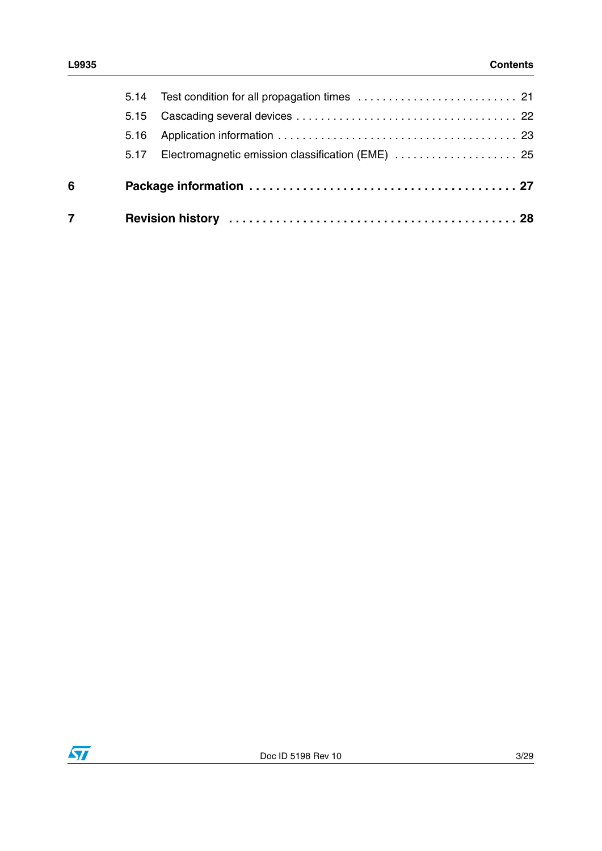| $\overline{7}$ |      |                                                        |  |
|----------------|------|--------------------------------------------------------|--|
| 6              |      |                                                        |  |
|                |      | 5.17 Electromagnetic emission classification (EME)  25 |  |
|                | 5.16 |                                                        |  |
|                | 5.15 |                                                        |  |
|                |      | 5.14 Test condition for all propagation times  21      |  |

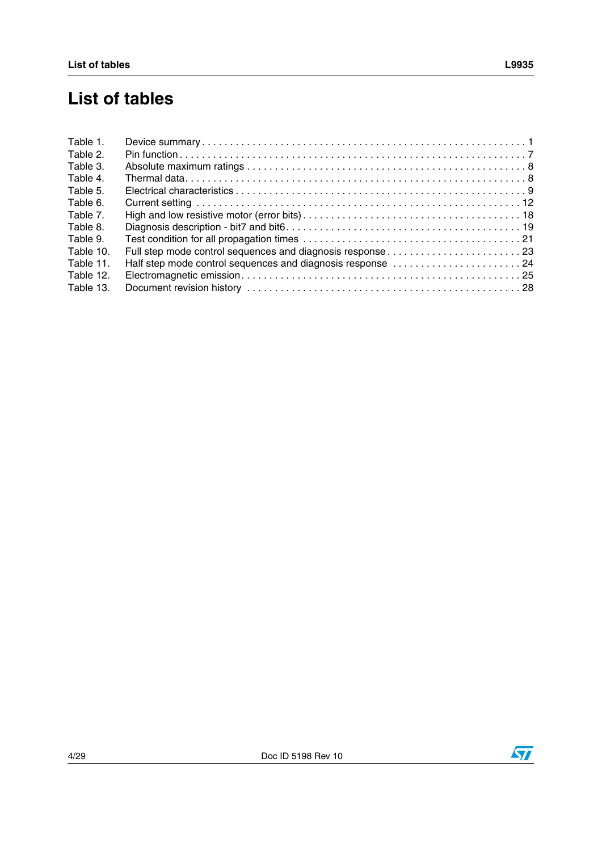| Table 1.  |                                                            |  |
|-----------|------------------------------------------------------------|--|
| Table 2.  |                                                            |  |
| Table 3.  |                                                            |  |
| Table 4.  |                                                            |  |
| Table 5.  |                                                            |  |
| Table 6.  |                                                            |  |
| Table 7.  |                                                            |  |
| Table 8.  |                                                            |  |
| Table 9.  |                                                            |  |
| Table 10. |                                                            |  |
| Table 11. | Half step mode control sequences and diagnosis response 24 |  |
| Table 12. |                                                            |  |
| Table 13. |                                                            |  |
|           |                                                            |  |

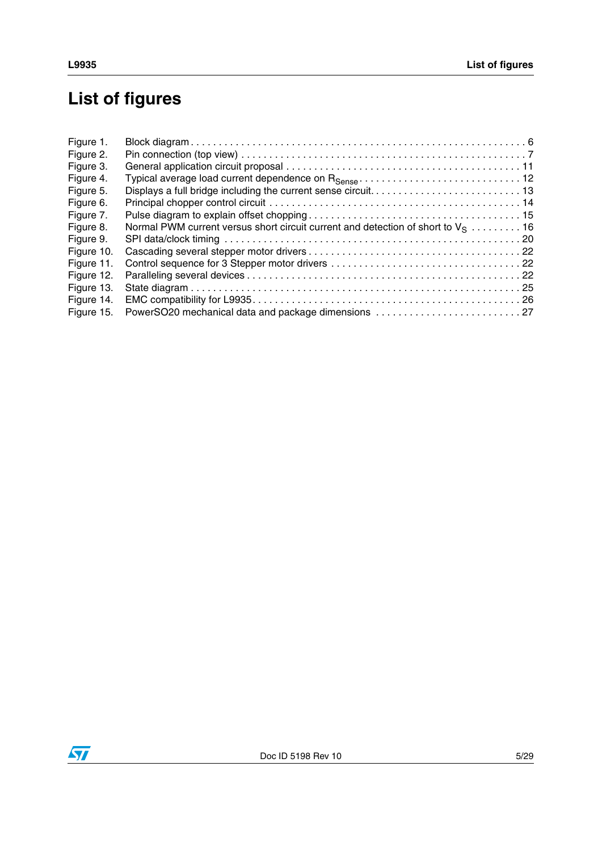# **List of figures**

| Figure 1.  |                                                                                    |  |
|------------|------------------------------------------------------------------------------------|--|
| Figure 2.  |                                                                                    |  |
| Figure 3.  |                                                                                    |  |
| Figure 4.  |                                                                                    |  |
| Figure 5.  |                                                                                    |  |
| Figure 6.  |                                                                                    |  |
| Figure 7.  |                                                                                    |  |
| Figure 8.  | Normal PWM current versus short circuit current and detection of short to $V_S$ 16 |  |
| Figure 9.  |                                                                                    |  |
| Figure 10. |                                                                                    |  |
| Figure 11. |                                                                                    |  |
| Figure 12. |                                                                                    |  |
| Figure 13. |                                                                                    |  |
| Figure 14. |                                                                                    |  |
| Figure 15. | PowerSO20 mechanical data and package dimensions  27                               |  |

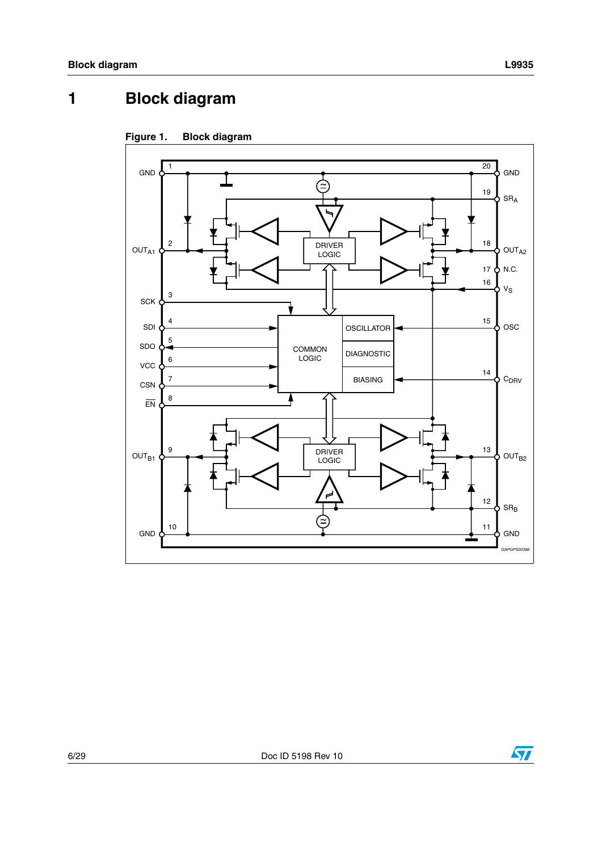#### <span id="page-5-0"></span>**Block diagram**  $\mathbf{1}$



<span id="page-5-1"></span>

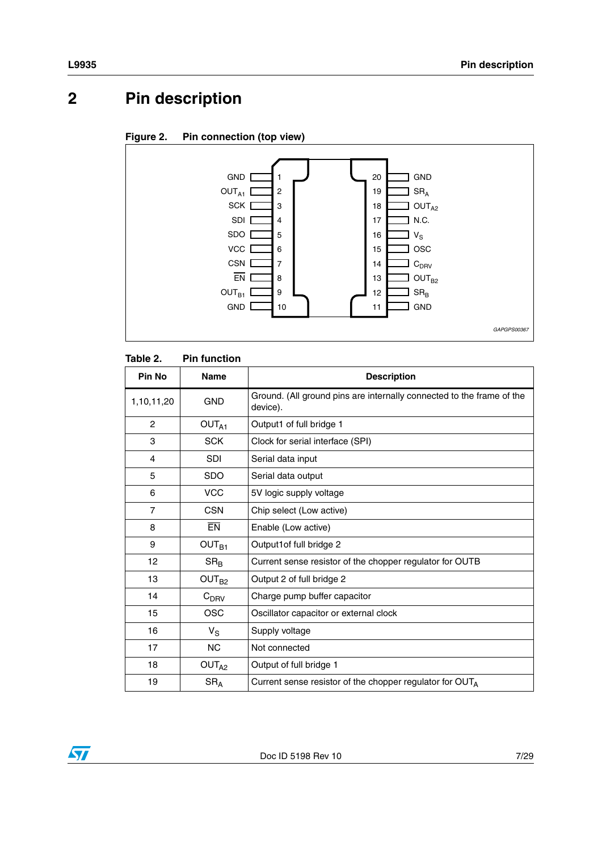# <span id="page-6-0"></span>**2 Pin description**

#### <span id="page-6-2"></span>**Figure 2. Pin connection (top view)**



#### <span id="page-6-1"></span>Table 2. **Pin function**

| Pin No         | <b>Name</b>       | <b>Description</b>                                                                |
|----------------|-------------------|-----------------------------------------------------------------------------------|
| 1,10,11,20     | <b>GND</b>        | Ground. (All ground pins are internally connected to the frame of the<br>device). |
| 2              | OUT <sub>A1</sub> | Output1 of full bridge 1                                                          |
| 3              | <b>SCK</b>        | Clock for serial interface (SPI)                                                  |
| 4              | <b>SDI</b>        | Serial data input                                                                 |
| 5              | <b>SDO</b>        | Serial data output                                                                |
| 6              | <b>VCC</b>        | 5V logic supply voltage                                                           |
| $\overline{7}$ | <b>CSN</b>        | Chip select (Low active)                                                          |
| 8              | <b>EN</b>         | Enable (Low active)                                                               |
| 9              | OUT <sub>B1</sub> | Output1of full bridge 2                                                           |
| 12             | $SR_B$            | Current sense resistor of the chopper regulator for OUTB                          |
| 13             | OUT <sub>B2</sub> | Output 2 of full bridge 2                                                         |
| 14             | $C_{DRV}$         | Charge pump buffer capacitor                                                      |
| 15             | <b>OSC</b>        | Oscillator capacitor or external clock                                            |
| 16             | $V_S$             | Supply voltage                                                                    |
| 17             | <b>NC</b>         | Not connected                                                                     |
| 18             | OUT <sub>A2</sub> | Output of full bridge 1                                                           |
| 19             | SR <sub>A</sub>   | Current sense resistor of the chopper regulator for OUTA                          |

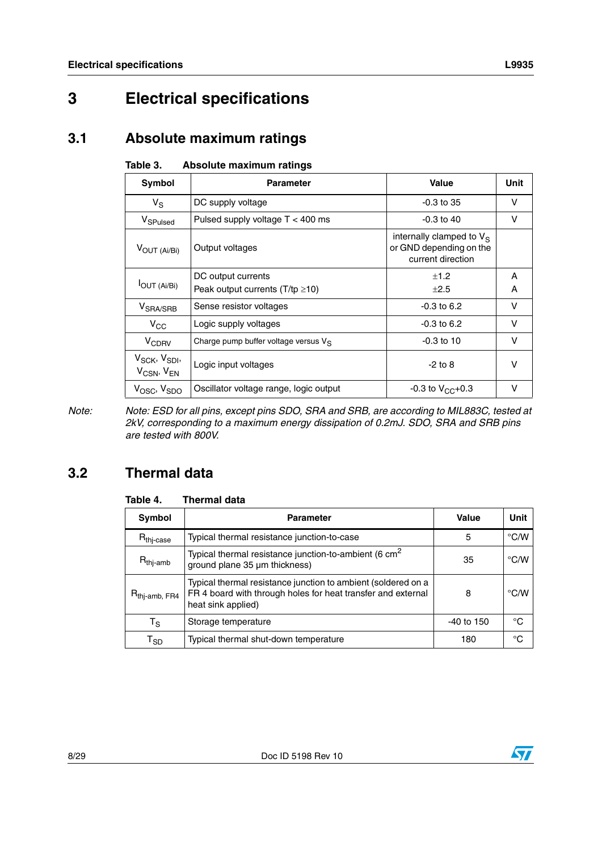# <span id="page-7-0"></span>**3 Electrical specifications**

## <span id="page-7-1"></span>**3.1 Absolute maximum ratings**

<span id="page-7-3"></span>

| Table 3. | Absolute maximum ratings |  |
|----------|--------------------------|--|
|          |                          |  |

| <b>Symbol</b>                                                 | <b>Parameter</b>                        | Value                                                                       | Unit   |
|---------------------------------------------------------------|-----------------------------------------|-----------------------------------------------------------------------------|--------|
| $V_S$                                                         | DC supply voltage                       | $-0.3$ to 35                                                                | v      |
| V <sub>SPulsed</sub>                                          | Pulsed supply voltage $T < 400$ ms      | $-0.3$ to 40                                                                | v      |
| $V_{\text{OUT (Ai/Bi)}}$                                      | Output voltages                         | internally clamped to $V_S$<br>or GND depending on the<br>current direction |        |
| <b>I</b> OUT (Ai/Bi)                                          | DC output currents                      | ±1.2                                                                        | A      |
|                                                               | Peak output currents $(T/tp \ge 10)$    | $+2.5$                                                                      | A      |
| V <sub>SRA/SRB</sub>                                          | Sense resistor voltages                 | $-0.3$ to 6.2                                                               | $\vee$ |
| $V_{CC}$                                                      | Logic supply voltages                   | $-0.3$ to 6.2                                                               | v      |
| <b>V<sub>CDRV</sub></b>                                       | Charge pump buffer voltage versus $V_S$ | $-0.3$ to 10                                                                | v      |
| V <sub>SCK</sub> , V <sub>SDI</sub> ,<br>$V_{CSN}$ , $V_{EN}$ | Logic input voltages                    | $-2$ to 8                                                                   | $\vee$ |
| $V_{\text{OSC}}$ , $V_{\text{SDO}}$                           | Oscillator voltage range, logic output  | $-0.3$ to $V_{CC}+0.3$                                                      | $\vee$ |

*Note: Note: ESD for all pins, except pins SDO, SRA and SRB, are according to MIL883C, tested at 2kV, corresponding to a maximum energy dissipation of 0.2mJ. SDO, SRA and SRB pins are tested with 800V.*

## <span id="page-7-2"></span>**3.2 Thermal data**

#### <span id="page-7-4"></span>Table 4. **Thermal data**

| <b>Symbol</b>               | <b>Parameter</b>                                                                                                                                    | Value        | <b>Unit</b>        |  |
|-----------------------------|-----------------------------------------------------------------------------------------------------------------------------------------------------|--------------|--------------------|--|
| R <sub>thj-case</sub>       | Typical thermal resistance junction-to-case                                                                                                         | 5            | $\degree$ C/W      |  |
| $R_{thj-amb}$               | Typical thermal resistance junction-to-ambient (6 cm <sup>2</sup><br>ground plane 35 µm thickness)                                                  | 35           | $\degree$ C/W      |  |
| $R_{\mathsf{thj-amb, FR4}}$ | Typical thermal resistance junction to ambient (soldered on a<br>FR 4 board with through holes for heat transfer and external<br>heat sink applied) | 8            | $\rm ^{\circ}$ C/W |  |
| $\mathsf{T}_\mathsf{S}$     | Storage temperature                                                                                                                                 | $-40$ to 150 | °C                 |  |
| $\mathsf{T}_{\textsf{SD}}$  | Typical thermal shut-down temperature                                                                                                               | 180          | °C                 |  |

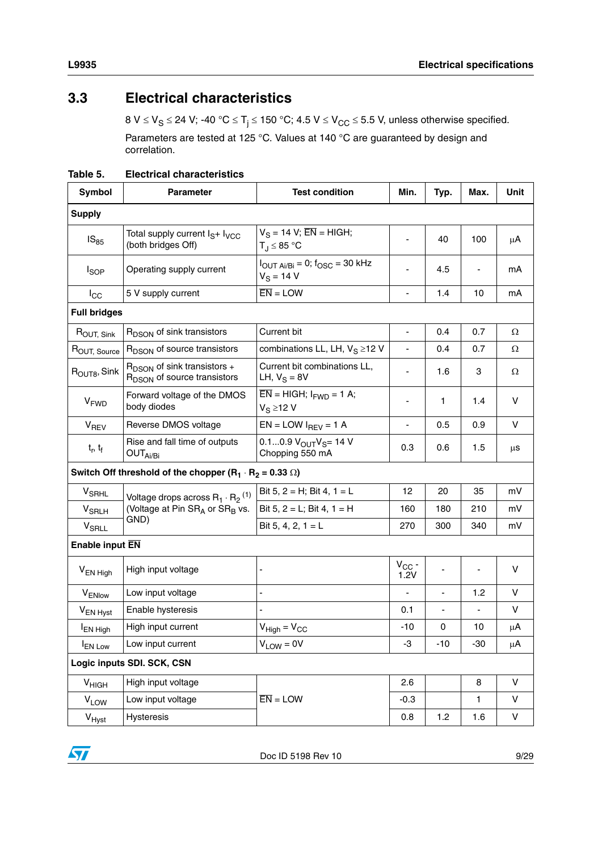## <span id="page-8-0"></span>**3.3 Electrical characteristics**

 $8 V \leq V_S \leq 24 V$ ; -40 °C  $\leq T_j \leq 150$  °C; 4.5 V  $\leq V_{CC} \leq 5.5 V$ , unless otherwise specified. Parameters are tested at 125 °C. Values at 140 °C are guaranteed by design and correlation.

<span id="page-8-1"></span>

| Table 5. | <b>Electrical characteristics</b> |
|----------|-----------------------------------|
|          |                                   |

| <b>Symbol</b>            | <b>Parameter</b>                                                             | <b>Test condition</b>                                                  | Min.                         | Typ.                     | Max.                     | Unit   |  |
|--------------------------|------------------------------------------------------------------------------|------------------------------------------------------------------------|------------------------------|--------------------------|--------------------------|--------|--|
| <b>Supply</b>            |                                                                              |                                                                        |                              |                          |                          |        |  |
| $IS_{85}$                | Total supply current I <sub>S</sub> + I <sub>VCC</sub><br>(both bridges Off) | $V_S = 14 V$ ; $\overline{EN} = HIGH$ ;<br>$T_J \leq 85$ °C            | -                            | 40                       | 100                      | μA     |  |
| <sub>sop</sub>           | Operating supply current                                                     | $I_{\text{OUT Ai/Bi}} = 0$ ; $f_{\text{OSC}} = 30$ kHz<br>$V_S = 14 V$ | $\overline{\phantom{a}}$     | 4.5                      |                          | mA     |  |
| $I_{\rm CC}$             | 5 V supply current                                                           | $\overline{EN}$ = LOW                                                  | $\centerdot$                 | 1.4                      | 10                       | mA     |  |
| <b>Full bridges</b>      |                                                                              |                                                                        |                              |                          |                          |        |  |
| ROUT, Sink               | R <sub>DSON</sub> of sink transistors                                        | Current bit                                                            | $\blacksquare$               | 0.4                      | 0.7                      | Ω      |  |
| ROUT, Source             | R <sub>DSON</sub> of source transistors                                      | combinations LL, LH, $V_S \ge 12$ V                                    | $\blacksquare$               | 0.4                      | 0.7                      | Ω      |  |
| R <sub>OUT8</sub> , Sink | $R_{DSON}$ of sink transistors +<br>R <sub>DSON</sub> of source transistors  | Current bit combinations LL,<br>LH, $V_S = 8V$                         | $\qquad \qquad \blacksquare$ | 1.6                      | 3                        | Ω      |  |
| <b>V<sub>FWD</sub></b>   | Forward voltage of the DMOS<br>body diodes                                   | $\overline{EN}$ = HIGH; $I_{FWD}$ = 1 A;<br>$V_S \ge 12 V$             | ٠                            | 1                        | 1.4                      | v      |  |
| V <sub>REV</sub>         | Reverse DMOS voltage                                                         | $EN = LOW I_{REV} = 1 A$                                               | $\qquad \qquad \blacksquare$ | 0.5                      | 0.9                      | $\vee$ |  |
| $t_r$ , $t_f$            | Rise and fall time of outputs<br>OUT <sub>Ai/Bi</sub>                        | $0.10.9 V_{OUT}V_S = 14 V$<br>Chopping 550 mA                          | 0.3                          | 0.6                      | 1.5                      | μS     |  |
|                          | Switch Off threshold of the chopper $(R_1 \cdot R_2 = 0.33 \Omega)$          |                                                                        |                              |                          |                          |        |  |
| <b>V<sub>SRHL</sub></b>  | Voltage drops across $R_1 \cdot R_2$ <sup>(1)</sup>                          | Bit 5, $2 = H$ ; Bit 4, $1 = L$                                        | 12                           | 20                       | 35                       | mV     |  |
| <b>V<sub>SRLH</sub></b>  | (Voltage at Pin SRA or SR <sub>B</sub> vs.                                   | Bit 5, $2 = L$ ; Bit 4, $1 = H$                                        | 160                          | 180                      | 210                      | mV     |  |
| <b>V<sub>SRLL</sub></b>  | GND)                                                                         | Bit 5, 4, 2, $1 = L$                                                   | 270                          | 300                      | 340                      | mV     |  |
| Enable input EN          |                                                                              |                                                                        |                              |                          |                          |        |  |
| V <sub>EN High</sub>     | High input voltage                                                           |                                                                        | $V_{CC}$ -<br>1.2V           |                          |                          | $\vee$ |  |
| V <sub>ENlow</sub>       | Low input voltage                                                            | L,                                                                     | L,                           | $\blacksquare$           | 1.2                      | $\vee$ |  |
| V <sub>EN Hyst</sub>     | Enable hysteresis                                                            |                                                                        | 0.1                          | $\overline{\phantom{a}}$ | $\overline{\phantom{a}}$ | V      |  |
| <b>EN High</b>           | High input current                                                           | $V_{High} = V_{CC}$                                                    | $-10$                        | 0                        | 10                       | μA     |  |
| <b>I</b> EN Low          | Low input current                                                            | $V_{LOW} = 0V$                                                         | -3                           | $-10$                    | $-30$                    | μA     |  |
|                          | Logic inputs SDI. SCK, CSN                                                   |                                                                        |                              |                          |                          |        |  |
| V <sub>HIGH</sub>        | High input voltage                                                           |                                                                        | 2.6                          |                          | 8                        | $\vee$ |  |
| <b>V<sub>LOW</sub></b>   | Low input voltage                                                            | $\overline{EN}$ = LOW                                                  | $-0.3$                       |                          | 1.                       | V      |  |
| V <sub>Hyst</sub>        | Hysteresis                                                                   |                                                                        | 0.8                          | 1.2                      | 1.6                      | V      |  |

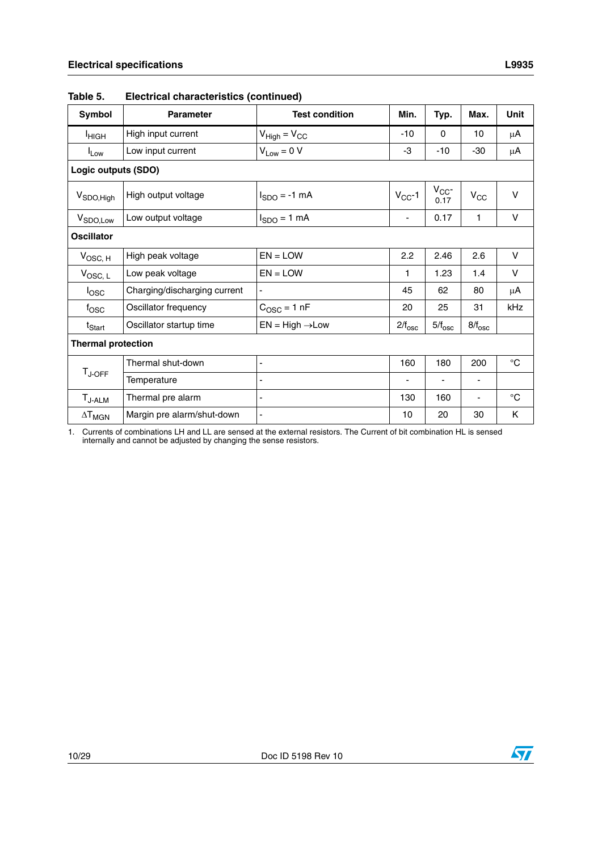| Symbol                    | <b>Parameter</b>             | <b>Test condition</b>       | Min.                     | Typ.               | Max.            | <b>Unit</b> |
|---------------------------|------------------------------|-----------------------------|--------------------------|--------------------|-----------------|-------------|
| <b>I</b> ніGН             | High input current           | $V_{High} = V_{CC}$         | -10                      | 0                  | 10              | μA          |
| $I_{Low}$                 | Low input current            | $V_{Low} = 0 V$             | -3                       | $-10$              | $-30$           | $\mu$ A     |
| Logic outputs (SDO)       |                              |                             |                          |                    |                 |             |
| V <sub>SDO, High</sub>    | High output voltage          | $I_{SDO} = -1$ mA           | $V_{CC}$ -1              | $V_{CC}$ -<br>0.17 | $V_{\rm CC}$    | $\vee$      |
| V <sub>SDO,Low</sub>      | Low output voltage           | $I_{SDO} = 1$ mA            | $\overline{\phantom{a}}$ | 0.17               | 1               | $\vee$      |
| <b>Oscillator</b>         |                              |                             |                          |                    |                 |             |
| $V_{\text{OSC, H}}$       | High peak voltage            | $EN = LOW$                  | 2.2                      | 2.46               | 2.6             | V           |
| $V_{\text{OSC, L}}$       | Low peak voltage             | $EN = LOW$                  | 1                        | 1.23               | 1.4             | V           |
| $I_{\text{OSC}}$          | Charging/discharging current |                             | 45                       | 62                 | 80              | $\mu$ A     |
| $f_{\rm{OSC}}$            | Oscillator frequency         | $C_{\text{OSC}} = 1$ nF     | 20                       | 25                 | 31              | kHz         |
| t <sub>Start</sub>        | Oscillator startup time      | $EN = High \rightarrow Low$ | $2/f_{\rm osc}$          | $5/f_{\rm osc}$    | $8/f_{\rm osc}$ |             |
| <b>Thermal protection</b> |                              |                             |                          |                    |                 |             |
|                           | Thermal shut-down            | $\overline{\phantom{a}}$    | 160                      | 180                | 200             | $^{\circ}C$ |
| $T_{J\text{-}OFF}$        | Temperature                  |                             | $\overline{\phantom{a}}$ | ۰                  |                 |             |
| $T_{J-ALM}$               | Thermal pre alarm            | $\overline{\phantom{a}}$    | 130                      | 160                |                 | $^{\circ}C$ |
| $\Delta T_{MGN}$          | Margin pre alarm/shut-down   | ÷,                          | 10                       | 20                 | 30              | Κ           |

|  | Table 5. | <b>Electrical characteristics (continued)</b> |  |
|--|----------|-----------------------------------------------|--|
|--|----------|-----------------------------------------------|--|

1. Currents of combinations LH and LL are sensed at the external resistors. The Current of bit combination HL is sensed internally and cannot be adjusted by changing the sense resistors.

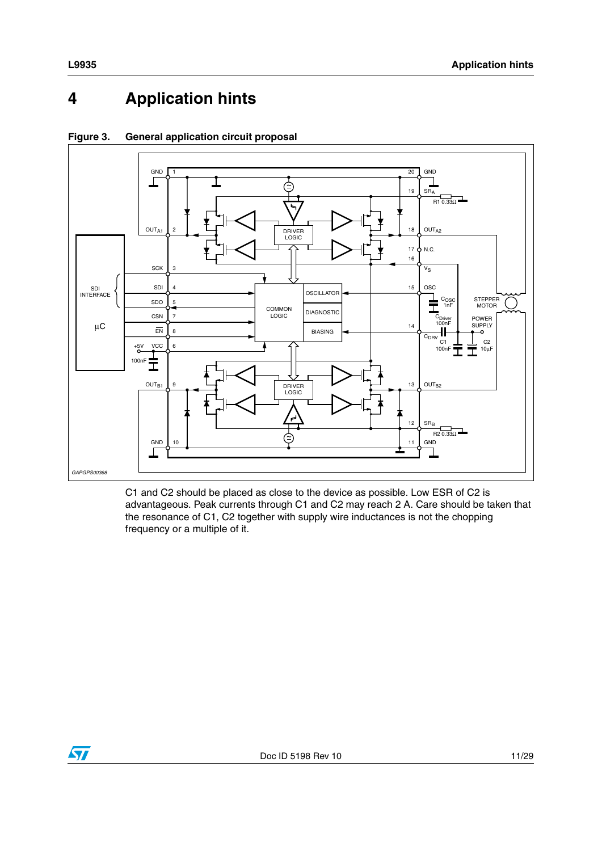#### <span id="page-10-0"></span>**Application hints**  $\overline{\mathbf{4}}$



#### <span id="page-10-1"></span>Figure 3. **General application circuit proposal**

C1 and C2 should be placed as close to the device as possible. Low ESR of C2 is advantageous. Peak currents through C1 and C2 may reach 2 A. Care should be taken that the resonance of C1, C2 together with supply wire inductances is not the chopping frequency or a multiple of it.

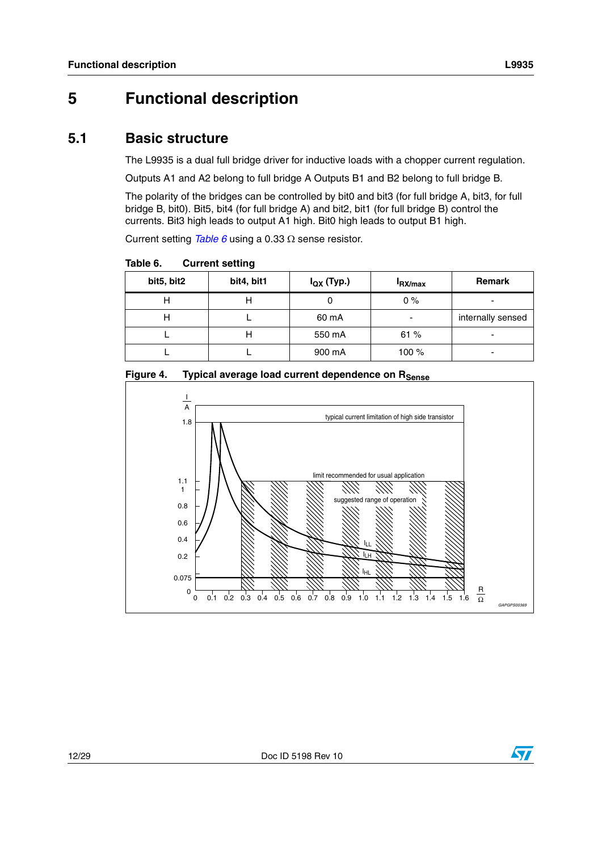## <span id="page-11-0"></span>**5 Functional description**

### <span id="page-11-1"></span>**5.1 Basic structure**

The L9935 is a dual full bridge driver for inductive loads with a chopper current regulation.

Outputs A1 and A2 belong to full bridge A Outputs B1 and B2 belong to full bridge B.

The polarity of the bridges can be controlled by bit0 and bit3 (for full bridge A, bit3, for full bridge B, bit0). Bit5, bit4 (for full bridge A) and bit2, bit1 (for full bridge B) control the currents. Bit3 high leads to output A1 high. Bit0 high leads to output B1 high.

Current setting *[Table 6](#page-11-2)* using a 0.33  $\Omega$  sense resistor.

<span id="page-11-2"></span>Table 6. **Current setting** 

| bit5, bit2 | bit4, bit1 | $I_{\text{QX}}$ (Typ.) | <b>IRX/max</b> | <b>Remark</b>     |
|------------|------------|------------------------|----------------|-------------------|
| н          | н          |                        | 0%             | -                 |
| н          |            | 60 mA                  |                | internally sensed |
|            | н          | 550 mA                 | 61%            |                   |
|            |            | 900 mA                 | 100 %          | -                 |

<span id="page-11-3"></span>Figure 4. Typical average load current dependence on R<sub>Sense</sub>



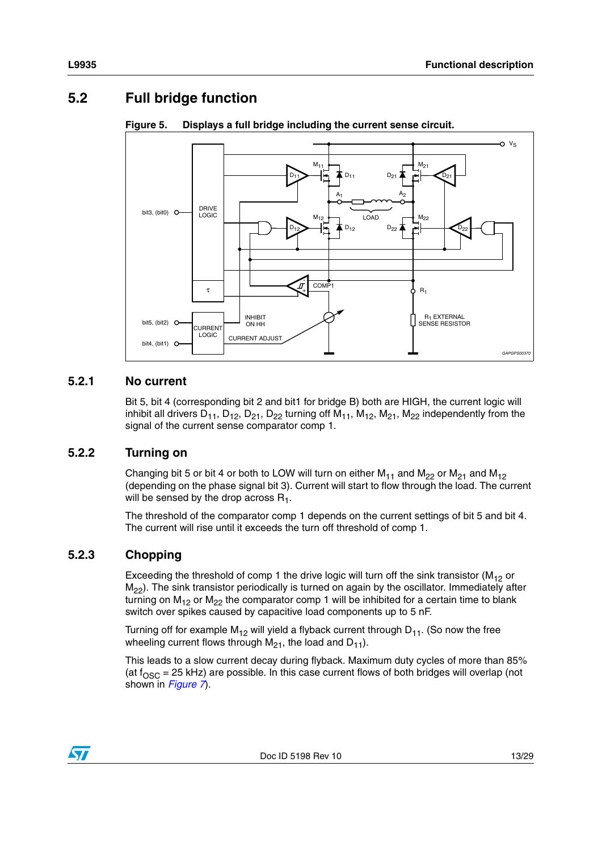## <span id="page-12-0"></span>**5.2 Full bridge function**



#### <span id="page-12-4"></span>**Figure 5. Displays a full bridge including the current sense circuit.**

### <span id="page-12-1"></span>**5.2.1 No current**

Bit 5, bit 4 (corresponding bit 2 and bit1 for bridge B) both are HIGH, the current logic will inhibit all drivers  $D_{11}$ ,  $D_{12}$ ,  $D_{21}$ ,  $D_{22}$  turning off  $M_{11}$ ,  $M_{12}$ ,  $M_{21}$ ,  $M_{22}$  independently from the signal of the current sense comparator comp 1.

#### <span id="page-12-2"></span>**5.2.2 Turning on**

Changing bit 5 or bit 4 or both to LOW will turn on either  $M_{11}$  and  $M_{22}$  or  $M_{21}$  and  $M_{12}$ (depending on the phase signal bit 3). Current will start to flow through the load. The current will be sensed by the drop across  $R_1$ .

The threshold of the comparator comp 1 depends on the current settings of bit 5 and bit 4. The current will rise until it exceeds the turn off threshold of comp 1.

#### <span id="page-12-3"></span>**5.2.3 Chopping**

Exceeding the threshold of comp 1 the drive logic will turn off the sink transistor ( $M_{12}$  or  $M_{22}$ ). The sink transistor periodically is turned on again by the oscillator. Immediately after turning on  $M_{12}$  or  $M_{22}$  the comparator comp 1 will be inhibited for a certain time to blank switch over spikes caused by capacitive load components up to 5 nF.

Turning off for example  $M_{12}$  will yield a flyback current through  $D_{11}$ . (So now the free wheeling current flows through  $M_{21}$ , the load and  $D_{11}$ ).

This leads to a slow current decay during flyback. Maximum duty cycles of more than 85% (at  $f_{\rm OSC}$  = 25 kHz) are possible. In this case current flows of both bridges will overlap (not shown in *[Figure 7](#page-14-2)*).

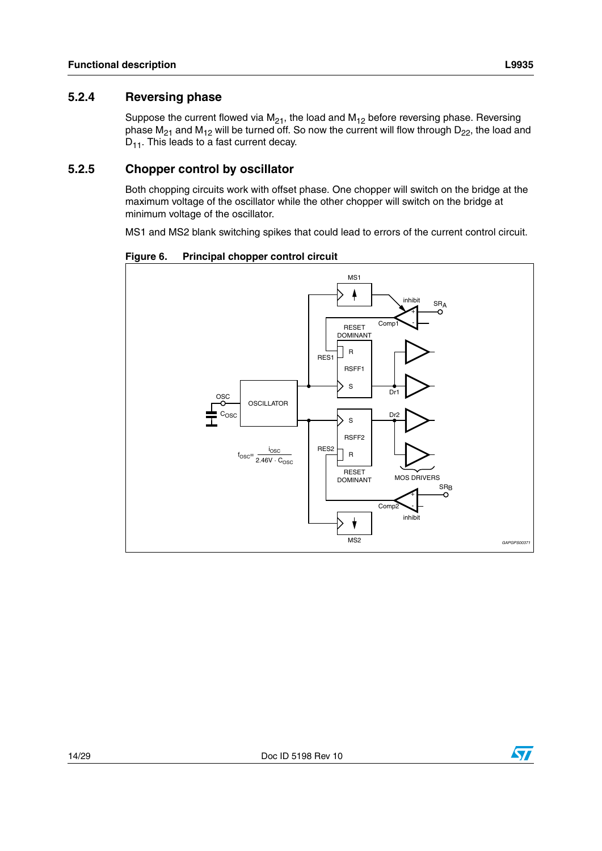#### <span id="page-13-0"></span> $5.2.4$ **Reversing phase**

Suppose the current flowed via  $M_{21}$ , the load and  $M_{12}$  before reversing phase. Reversing phase  $M_{21}$  and  $M_{12}$  will be turned off. So now the current will flow through  $D_{22}$ , the load and  $D_{11}$ . This leads to a fast current decay.

#### <span id="page-13-1"></span>5.2.5 **Chopper control by oscillator**

Both chopping circuits work with offset phase. One chopper will switch on the bridge at the maximum voltage of the oscillator while the other chopper will switch on the bridge at minimum voltage of the oscillator.

MS1 and MS2 blank switching spikes that could lead to errors of the current control circuit.

<span id="page-13-2"></span>Principal chopper control circuit Figure 6.





 $\sqrt{}$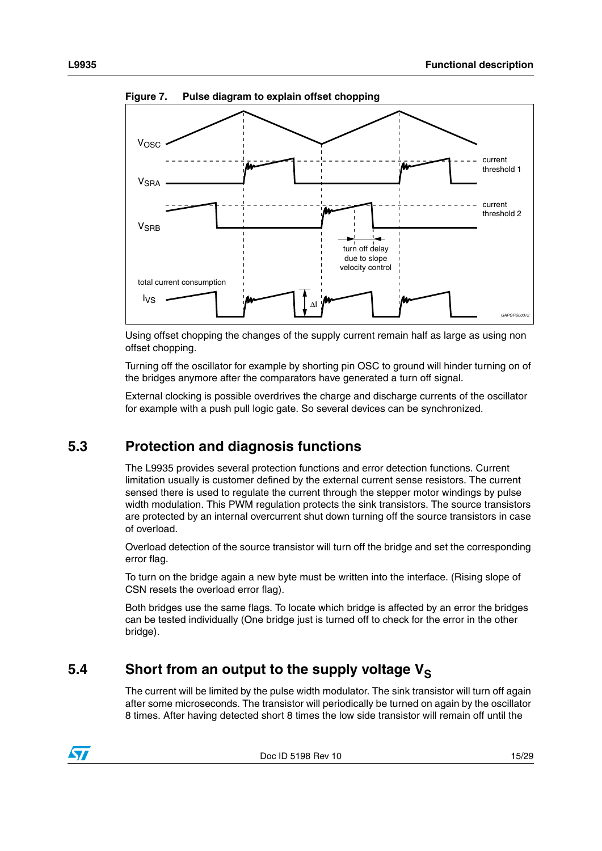

<span id="page-14-2"></span>**Figure 7. Pulse diagram to explain offset chopping**

Using offset chopping the changes of the supply current remain half as large as using non offset chopping.

Turning off the oscillator for example by shorting pin OSC to ground will hinder turning on of the bridges anymore after the comparators have generated a turn off signal.

External clocking is possible overdrives the charge and discharge currents of the oscillator for example with a push pull logic gate. So several devices can be synchronized.

### <span id="page-14-0"></span>**5.3 Protection and diagnosis functions**

The L9935 provides several protection functions and error detection functions. Current limitation usually is customer defined by the external current sense resistors. The current sensed there is used to regulate the current through the stepper motor windings by pulse width modulation. This PWM regulation protects the sink transistors. The source transistors are protected by an internal overcurrent shut down turning off the source transistors in case of overload.

Overload detection of the source transistor will turn off the bridge and set the corresponding error flag.

To turn on the bridge again a new byte must be written into the interface. (Rising slope of CSN resets the overload error flag).

Both bridges use the same flags. To locate which bridge is affected by an error the bridges can be tested individually (One bridge just is turned off to check for the error in the other bridge).

### <span id="page-14-1"></span>5.4 Short from an output to the supply voltage V<sub>S</sub>

The current will be limited by the pulse width modulator. The sink transistor will turn off again after some microseconds. The transistor will periodically be turned on again by the oscillator 8 times. After having detected short 8 times the low side transistor will remain off until the

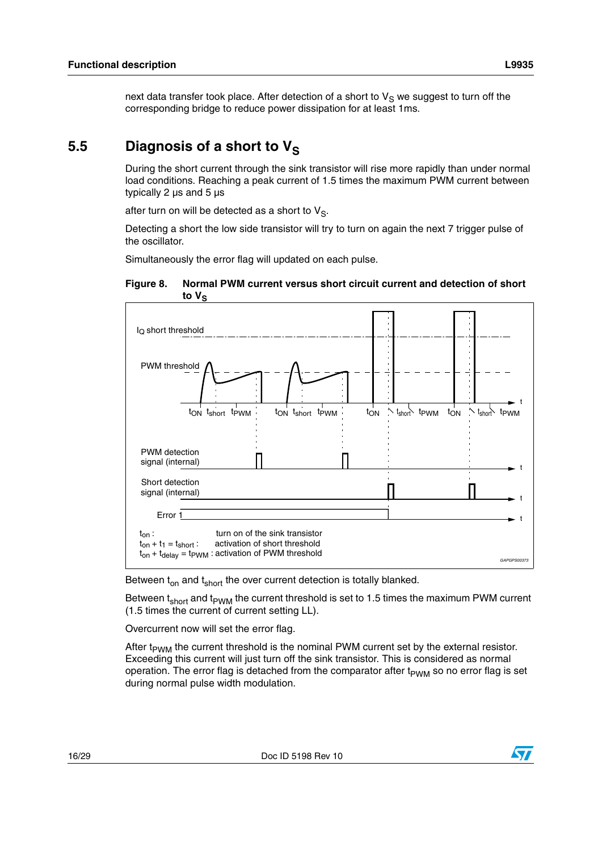next data transfer took place. After detection of a short to  $V_S$  we suggest to turn off the corresponding bridge to reduce power dissipation for at least 1ms.

### <span id="page-15-0"></span>5.5 Diagnosis of a short to V<sub>S</sub>

During the short current through the sink transistor will rise more rapidly than under normal load conditions. Reaching a peak current of 1.5 times the maximum PWM current between typically 2 µs and 5 µs

after turn on will be detected as a short to  $V_S$ .

Detecting a short the low side transistor will try to turn on again the next 7 trigger pulse of the oscillator.

Simultaneously the error flag will updated on each pulse.

<span id="page-15-1"></span>



Between  $t_{on}$  and  $t_{short}$  the over current detection is totally blanked.

Between  $t_{short}$  and  $t_{\text{PWM}}$  the current threshold is set to 1.5 times the maximum PWM current (1.5 times the current of current setting LL).

Overcurrent now will set the error flag.

After  $t_{\text{PWM}}$  the current threshold is the nominal PWM current set by the external resistor. Exceeding this current will just turn off the sink transistor. This is considered as normal operation. The error flag is detached from the comparator after  $t_{PWM}$  so no error flag is set during normal pulse width modulation.

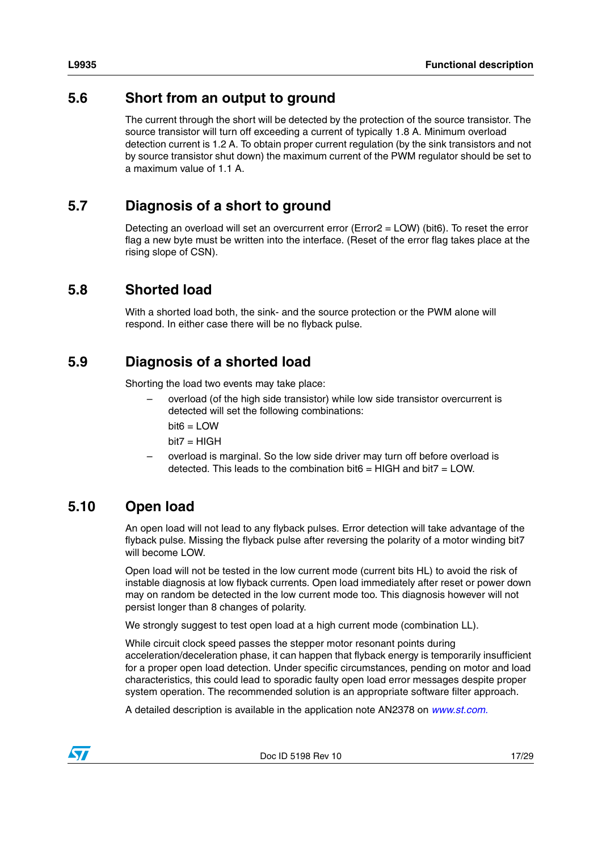### <span id="page-16-0"></span>**5.6 Short from an output to ground**

The current through the short will be detected by the protection of the source transistor. The source transistor will turn off exceeding a current of typically 1.8 A. Minimum overload detection current is 1.2 A. To obtain proper current regulation (by the sink transistors and not by source transistor shut down) the maximum current of the PWM regulator should be set to a maximum value of 1.1 A.

## <span id="page-16-1"></span>**5.7 Diagnosis of a short to ground**

Detecting an overload will set an overcurrent error (Error2 = LOW) (bit6). To reset the error flag a new byte must be written into the interface. (Reset of the error flag takes place at the rising slope of CSN).

### <span id="page-16-2"></span>**5.8 Shorted load**

With a shorted load both, the sink- and the source protection or the PWM alone will respond. In either case there will be no flyback pulse.

## <span id="page-16-3"></span>**5.9 Diagnosis of a shorted load**

Shorting the load two events may take place:

- overload (of the high side transistor) while low side transistor overcurrent is detected will set the following combinations:
	- $bit6 =$  LOW
	- $bit7 = HIGH$
- overload is marginal. So the low side driver may turn off before overload is detected. This leads to the combination bit6 = HIGH and bit7 = LOW.

## <span id="page-16-4"></span>**5.10 Open load**

An open load will not lead to any flyback pulses. Error detection will take advantage of the flyback pulse. Missing the flyback pulse after reversing the polarity of a motor winding bit7 will become LOW.

Open load will not be tested in the low current mode (current bits HL) to avoid the risk of instable diagnosis at low flyback currents. Open load immediately after reset or power down may on random be detected in the low current mode too. This diagnosis however will not persist longer than 8 changes of polarity.

We strongly suggest to test open load at a high current mode (combination LL).

While circuit clock speed passes the stepper motor resonant points during acceleration/deceleration phase, it can happen that flyback energy is temporarily insufficient for a proper open load detection. Under specific circumstances, pending on motor and load characteristics, this could lead to sporadic faulty open load error messages despite proper system operation. The recommended solution is an appropriate software filter approach.

A detailed description is available in the application note AN2378 on *[www.st.com.](http://www.st.com)*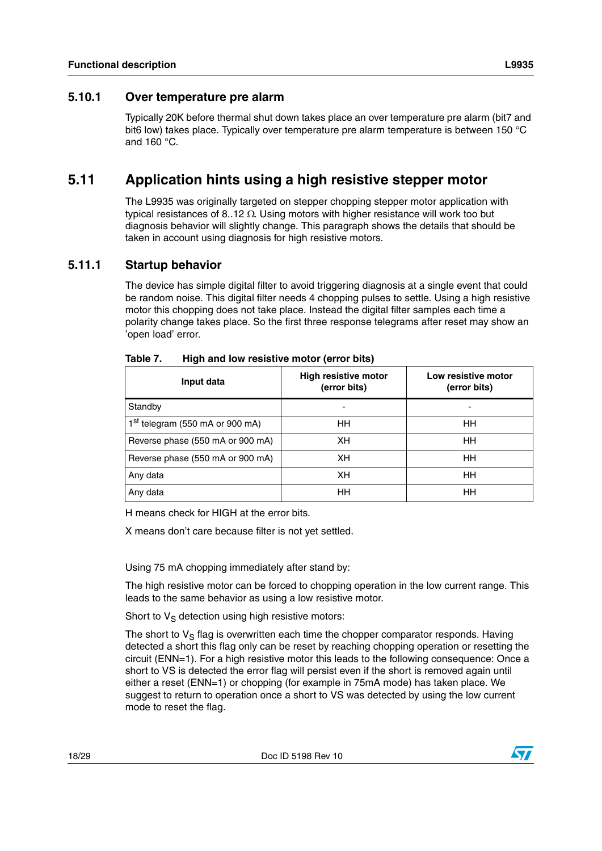#### <span id="page-17-0"></span>**5.10.1 Over temperature pre alarm**

Typically 20K before thermal shut down takes place an over temperature pre alarm (bit7 and bit6 low) takes place. Typically over temperature pre alarm temperature is between 150 °C and 160 °C.

### <span id="page-17-1"></span>**5.11 Application hints using a high resistive stepper motor**

The L9935 was originally targeted on stepper chopping stepper motor application with typical resistances of 8..12  $\Omega$ . Using motors with higher resistance will work too but diagnosis behavior will slightly change. This paragraph shows the details that should be taken in account using diagnosis for high resistive motors.

#### <span id="page-17-2"></span>**5.11.1 Startup behavior**

The device has simple digital filter to avoid triggering diagnosis at a single event that could be random noise. This digital filter needs 4 chopping pulses to settle. Using a high resistive motor this chopping does not take place. Instead the digital filter samples each time a polarity change takes place. So the first three response telegrams after reset may show an 'open load' error.

| Input data                                  | <b>High resistive motor</b><br>(error bits) | Low resistive motor<br>(error bits) |  |  |
|---------------------------------------------|---------------------------------------------|-------------------------------------|--|--|
| Standby                                     |                                             |                                     |  |  |
| 1 <sup>st</sup> telegram (550 mA or 900 mA) | HH                                          | HН                                  |  |  |
| Reverse phase (550 mA or 900 mA)            | XН                                          | HН                                  |  |  |
| Reverse phase (550 mA or 900 mA)            | XН                                          | HН                                  |  |  |
| Any data                                    | XH                                          | HH                                  |  |  |
| Any data                                    | HH                                          | HH                                  |  |  |

<span id="page-17-3"></span>Table 7. **High and low resistive motor (error bits)** 

H means check for HIGH at the error bits.

X means don't care because filter is not yet settled.

Using 75 mA chopping immediately after stand by:

The high resistive motor can be forced to chopping operation in the low current range. This leads to the same behavior as using a low resistive motor.

Short to  $V_S$  detection using high resistive motors:

The short to  $V_S$  flag is overwritten each time the chopper comparator responds. Having detected a short this flag only can be reset by reaching chopping operation or resetting the circuit (ENN=1). For a high resistive motor this leads to the following consequence: Once a short to VS is detected the error flag will persist even if the short is removed again until either a reset (ENN=1) or chopping (for example in 75mA mode) has taken place. We suggest to return to operation once a short to VS was detected by using the low current mode to reset the flag.

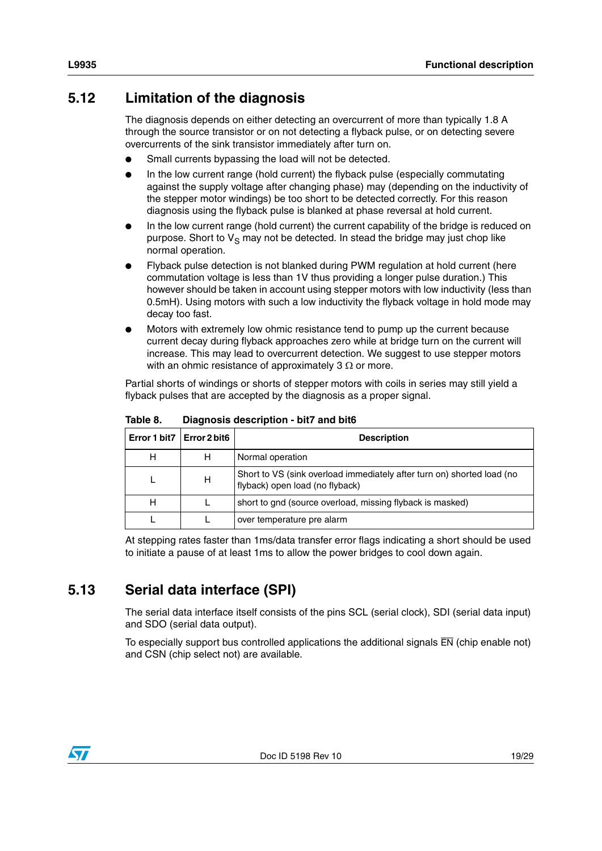## <span id="page-18-0"></span>**5.12 Limitation of the diagnosis**

The diagnosis depends on either detecting an overcurrent of more than typically 1.8 A through the source transistor or on not detecting a flyback pulse, or on detecting severe overcurrents of the sink transistor immediately after turn on.

- Small currents bypassing the load will not be detected.
- In the low current range (hold current) the flyback pulse (especially commutating against the supply voltage after changing phase) may (depending on the inductivity of the stepper motor windings) be too short to be detected correctly. For this reason diagnosis using the flyback pulse is blanked at phase reversal at hold current.
- In the low current range (hold current) the current capability of the bridge is reduced on purpose. Short to  $V<sub>S</sub>$  may not be detected. In stead the bridge may just chop like normal operation.
- Flyback pulse detection is not blanked during PWM regulation at hold current (here commutation voltage is less than 1V thus providing a longer pulse duration.) This however should be taken in account using stepper motors with low inductivity (less than 0.5mH). Using motors with such a low inductivity the flyback voltage in hold mode may decay too fast.
- Motors with extremely low ohmic resistance tend to pump up the current because current decay during flyback approaches zero while at bridge turn on the current will increase. This may lead to overcurrent detection. We suggest to use stepper motors with an ohmic resistance of approximately 3  $\Omega$  or more.

Partial shorts of windings or shorts of stepper motors with coils in series may still yield a flyback pulses that are accepted by the diagnosis as a proper signal.

| Error 1 bit7   Error 2 bit6 |   | <b>Description</b>                                                                                        |
|-----------------------------|---|-----------------------------------------------------------------------------------------------------------|
| н                           | н | Normal operation                                                                                          |
|                             | н | Short to VS (sink overload immediately after turn on) shorted load (no<br>flyback) open load (no flyback) |
| н                           |   | short to gnd (source overload, missing flyback is masked)                                                 |
|                             |   | over temperature pre alarm                                                                                |

<span id="page-18-2"></span>Table 8. **Diagnosis description - bit7 and bit6** 

At stepping rates faster than 1ms/data transfer error flags indicating a short should be used to initiate a pause of at least 1ms to allow the power bridges to cool down again.

## <span id="page-18-1"></span>**5.13 Serial data interface (SPI)**

The serial data interface itself consists of the pins SCL (serial clock), SDI (serial data input) and SDO (serial data output).

To especially support bus controlled applications the additional signals  $\overline{EN}$  (chip enable not) and CSN (chip select not) are available.

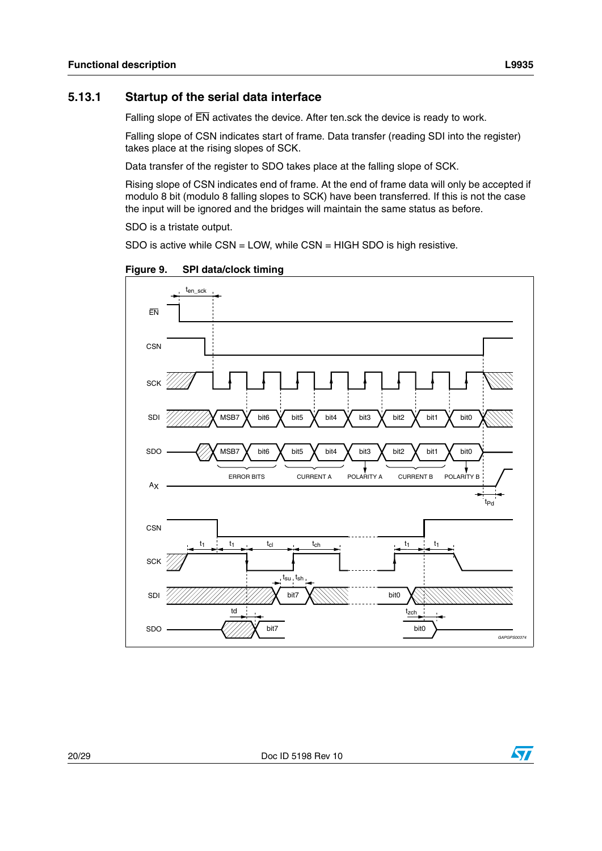#### <span id="page-19-0"></span>**5.13.1 Startup of the serial data interface**

Falling slope of  $\overline{EN}$  activates the device. After ten.sck the device is ready to work.

Falling slope of CSN indicates start of frame. Data transfer (reading SDI into the register) takes place at the rising slopes of SCK.

Data transfer of the register to SDO takes place at the falling slope of SCK.

Rising slope of CSN indicates end of frame. At the end of frame data will only be accepted if modulo 8 bit (modulo 8 falling slopes to SCK) have been transferred. If this is not the case the input will be ignored and the bridges will maintain the same status as before.

SDO is a tristate output.

SDO is active while CSN = LOW, while CSN = HIGH SDO is high resistive.

<span id="page-19-1"></span>**Figure 9. SPI data/clock timing**



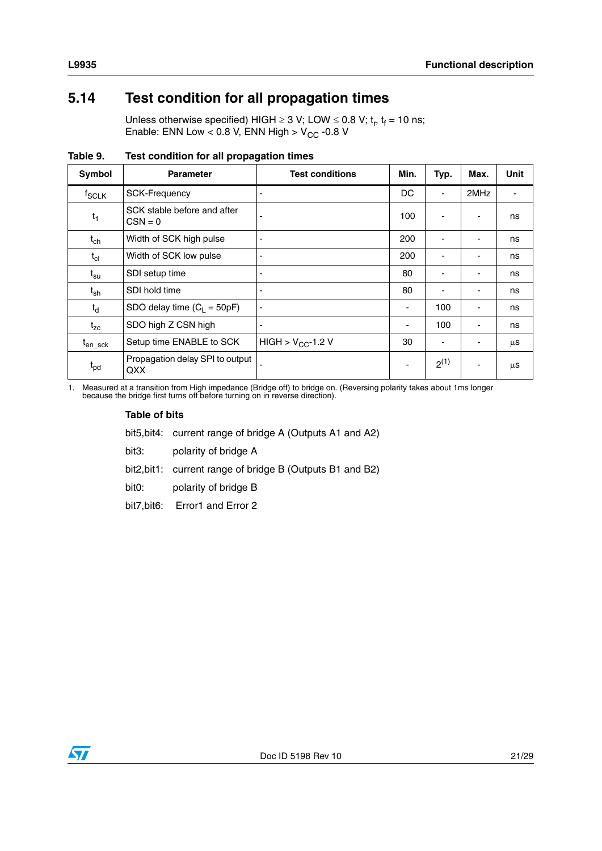## <span id="page-20-0"></span>**5.14 Test condition for all propagation times**

Unless otherwise specified) HIGH  $\geq$  3 V; LOW  $\leq$  0.8 V; t<sub>r</sub>, t<sub>f</sub> = 10 ns; Enable: ENN Low < 0.8 V, ENN High >  $V_{CC}$  -0.8 V

<span id="page-20-1"></span>

| Table 9. | Test condition for all propagation times |
|----------|------------------------------------------|
|          |                                          |

| Symbol              | <b>Parameter</b>                         | <b>Test conditions</b> | Min.                     | Typ.      | Max. | <b>Unit</b> |
|---------------------|------------------------------------------|------------------------|--------------------------|-----------|------|-------------|
| f <sub>SCLK</sub>   | <b>SCK-Frequency</b>                     |                        | DC                       | ٠         | 2MHz |             |
| $t_1$               | SCK stable before and after<br>$CSN = 0$ |                        | 100                      |           |      | ns          |
| $t_{ch}$            | Width of SCK high pulse                  |                        | 200                      |           |      | ns          |
| $t_{cl}$            | Width of SCK low pulse                   |                        | 200                      |           |      | ns          |
| $t_{\rm su}$        | SDI setup time                           |                        | 80                       |           |      | ns          |
| $t_{\sf sh}$        | SDI hold time                            |                        | 80                       |           |      | ns          |
| $t_d$               | SDO delay time $(C_1 = 50pF)$            | -                      | $\overline{\phantom{a}}$ | 100       |      | ns          |
| $t_{zc}$            | SDO high Z CSN high                      |                        | ٠                        | 100       |      | ns          |
| t <sub>en_sck</sub> | Setup time ENABLE to SCK                 | HIGH > $V_{CC}$ -1.2 V | 30                       | ٠         |      | μS          |
| $t_{pd}$            | Propagation delay SPI to output<br>QXX   |                        | $\overline{\phantom{a}}$ | $2^{(1)}$ |      | μS          |

1. Measured at a transition from High impedance (Bridge off) to bridge on. (Reversing polarity takes about 1ms longer because the bridge first turns off before turning on in reverse direction).

#### **Table of bits**

bit5,bit4: current range of bridge A (Outputs A1 and A2)

bit3: polarity of bridge A

bit2,bit1: current range of bridge B (Outputs B1 and B2)

bit0: polarity of bridge B

bit7,bit6: Error1 and Error 2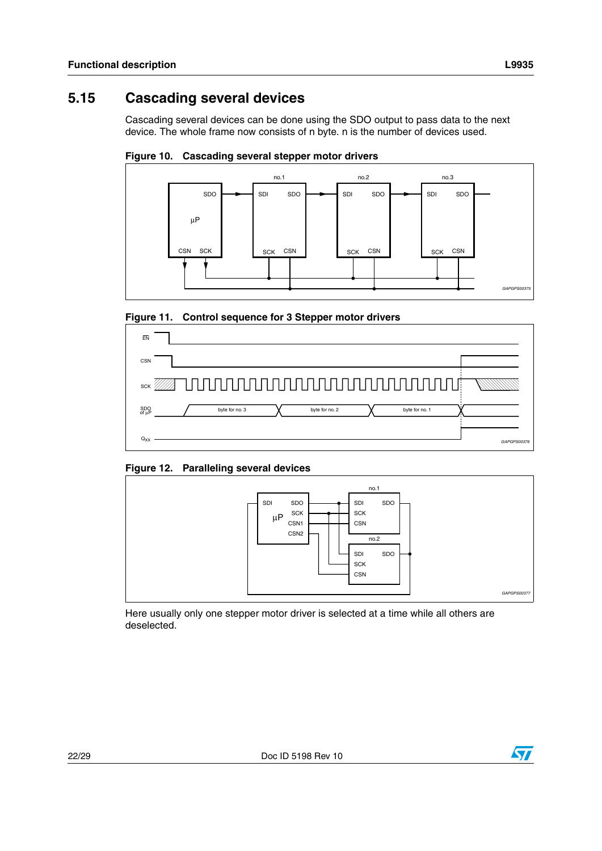#### <span id="page-21-0"></span>**Cascading several devices** 5.15

Cascading several devices can be done using the SDO output to pass data to the next device. The whole frame now consists of n byte. n is the number of devices used.

<span id="page-21-1"></span>Figure 10. Cascading several stepper motor drivers



<span id="page-21-2"></span>Figure 11. Control sequence for 3 Stepper motor drivers



<span id="page-21-3"></span>Figure 12. Paralleling several devices



Here usually only one stepper motor driver is selected at a time while all others are deselected.

L9935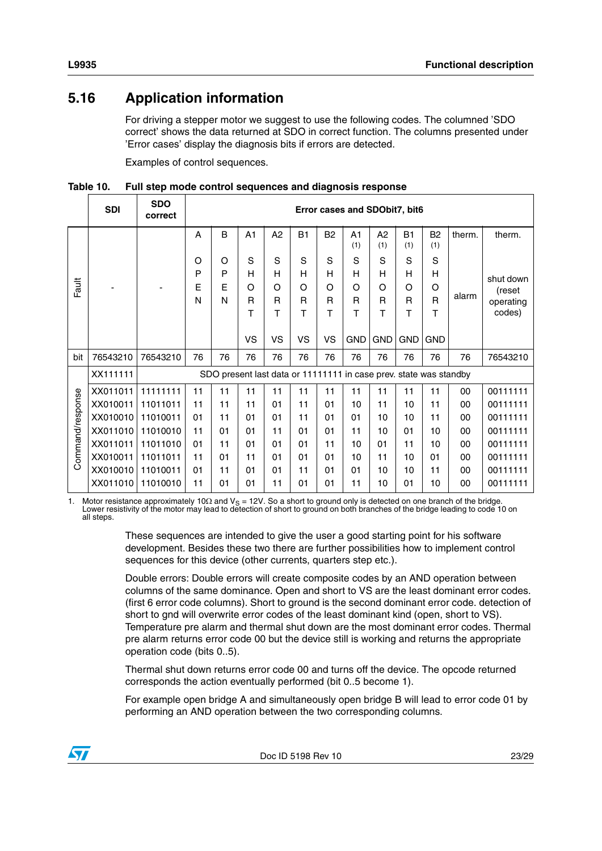## <span id="page-22-0"></span>**5.16 Application information**

For driving a stepper motor we suggest to use the following codes. The columned 'SDO correct' shows the data returned at SDO in correct function. The columns presented under 'Error cases' display the diagnosis bits if errors are detected.

Examples of control sequences.

<span id="page-22-1"></span>**Table 10. Full step mode control sequences and diagnosis response**

|                  | <b>SDI</b> | <b>SDO</b><br>correct |    | Error cases and SDObit7, bit6 |                |          |           |           |                                                                   |            |                  |                       |        |           |
|------------------|------------|-----------------------|----|-------------------------------|----------------|----------|-----------|-----------|-------------------------------------------------------------------|------------|------------------|-----------------------|--------|-----------|
|                  |            |                       | A  | B                             | A <sub>1</sub> | A2       | <b>B1</b> | <b>B2</b> | A1<br>(1)                                                         | A2<br>(1)  | <b>B1</b><br>(1) | B <sub>2</sub><br>(1) | therm. | therm.    |
|                  |            |                       | O  | O                             | S              | S        | S         | S         | S                                                                 | S          | S                | S                     |        |           |
|                  |            |                       | P  | P                             | н              | н        | н         | н         | Н                                                                 | н          | н                | H                     |        | shut down |
| Fault            |            |                       | E  | E                             | $\Omega$       | $\Omega$ | O         | O         | O                                                                 | O          | $\Omega$         | O                     |        | (reset    |
|                  |            |                       | N  | N                             | R              | R        | R         | R         | R                                                                 | R          | R                | R                     | alarm  | operating |
|                  |            |                       |    |                               | т              | т        | т         | т         | т                                                                 | Т          | т                | т                     |        | codes)    |
|                  |            |                       |    |                               | VS             | VS       | VS        | VS        | <b>GND</b>                                                        | <b>GND</b> | <b>GND</b>       | <b>GND</b>            |        |           |
| bit              | 76543210   | 76543210              | 76 | 76                            | 76             | 76       | 76        | 76        | 76                                                                | 76         | 76               | 76                    | 76     | 76543210  |
|                  | XX111111   |                       |    |                               |                |          |           |           | SDO present last data or 11111111 in case prev. state was standby |            |                  |                       |        |           |
|                  | XX011011   | 11111111              | 11 | 11                            | 11             | 11       | 11        | 11        | 11                                                                | 11         | 11               | 11                    | 00     | 00111111  |
|                  | XX010011   | 11011011              | 11 | 11                            | 11             | 01       | 11        | 01        | 10                                                                | 11         | 10               | 11                    | 00     | 00111111  |
|                  | XX010010   | 11010011              | 01 | 11                            | 01             | 01       | 11        | 01        | 01                                                                | 10         | 10               | 11                    | 00     | 00111111  |
|                  | XX011010   | 11010010              | 11 | 01                            | 01             | 11       | 01        | 01        | 11                                                                | 10         | 01               | 10                    | 00     | 00111111  |
|                  | XX011011   | 11011010              | 01 | 11                            | 01             | 01       | 01        | 11        | 10                                                                | 01         | 11               | 10                    | 00     | 00111111  |
| Command/response | XX010011   | 11011011              | 11 | 01                            | 11             | 01       | 01        | 01        | 10                                                                | 11         | 10               | 01                    | 00     | 00111111  |
|                  | XX010010   | 11010011              | 01 | 11                            | 01             | 01       | 11        | 01        | 01                                                                | 10         | 10               | 11                    | 00     | 00111111  |
|                  | XX011010   | 11010010              | 11 | 01                            | 01             | 11       | 01        | 01        | 11                                                                | 10         | 01               | 10                    | 00     | 00111111  |

1. Motor resistance approximately 10 $\Omega$  and  $V_S = 12V$ . So a short to ground only is detected on one branch of the bridge.<br>Lower resistivity of the motor may lead to detection of short to ground on both branches of the br all steps.

> These sequences are intended to give the user a good starting point for his software development. Besides these two there are further possibilities how to implement control sequences for this device (other currents, quarters step etc.).

Double errors: Double errors will create composite codes by an AND operation between columns of the same dominance. Open and short to VS are the least dominant error codes. (first 6 error code columns). Short to ground is the second dominant error code. detection of short to gnd will overwrite error codes of the least dominant kind (open, short to VS). Temperature pre alarm and thermal shut down are the most dominant error codes. Thermal pre alarm returns error code 00 but the device still is working and returns the appropriate operation code (bits 0..5).

Thermal shut down returns error code 00 and turns off the device. The opcode returned corresponds the action eventually performed (bit 0..5 become 1).

For example open bridge A and simultaneously open bridge B will lead to error code 01 by performing an AND operation between the two corresponding columns.

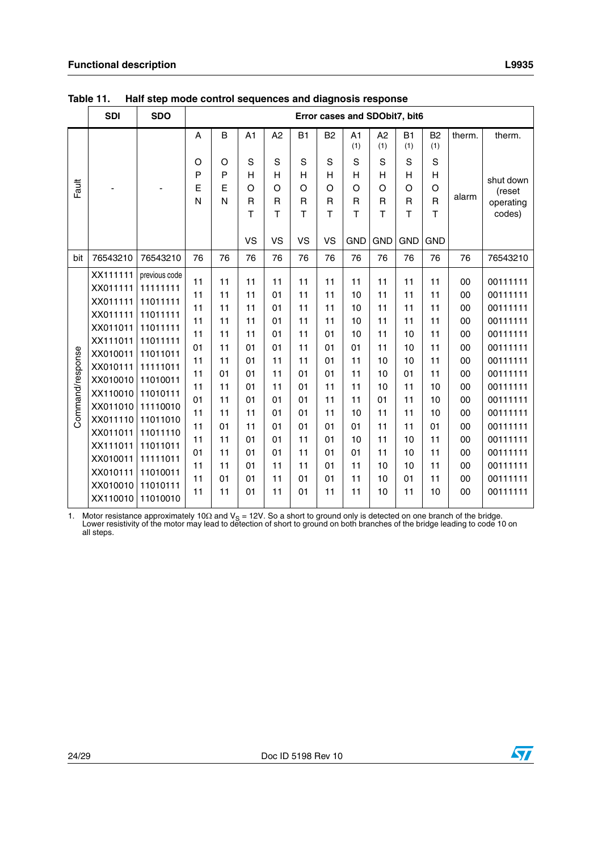|                  | <b>SDI</b>                                                                                                                                                                                                           | <b>SDO</b>                                                                                                                                                                                                                |                                                                                                    |                                                                                                    |                                                                                                    |                                                                                                    |                                                                                                    |                                                                                                    | Error cases and SDObit7, bit6                                                                      |                                                                                                    |                                                                                                    |                                                                                                    |                                                                                                    |                                                                                                                                                                                                          |
|------------------|----------------------------------------------------------------------------------------------------------------------------------------------------------------------------------------------------------------------|---------------------------------------------------------------------------------------------------------------------------------------------------------------------------------------------------------------------------|----------------------------------------------------------------------------------------------------|----------------------------------------------------------------------------------------------------|----------------------------------------------------------------------------------------------------|----------------------------------------------------------------------------------------------------|----------------------------------------------------------------------------------------------------|----------------------------------------------------------------------------------------------------|----------------------------------------------------------------------------------------------------|----------------------------------------------------------------------------------------------------|----------------------------------------------------------------------------------------------------|----------------------------------------------------------------------------------------------------|----------------------------------------------------------------------------------------------------|----------------------------------------------------------------------------------------------------------------------------------------------------------------------------------------------------------|
|                  |                                                                                                                                                                                                                      |                                                                                                                                                                                                                           | Α                                                                                                  | B                                                                                                  | A1                                                                                                 | A2                                                                                                 | <b>B1</b>                                                                                          | B <sub>2</sub>                                                                                     | A1<br>(1)                                                                                          | A <sub>2</sub><br>(1)                                                                              | B1<br>(1)                                                                                          | B <sub>2</sub><br>(1)                                                                              | therm.                                                                                             | therm.                                                                                                                                                                                                   |
| Fault            |                                                                                                                                                                                                                      |                                                                                                                                                                                                                           | O<br>P<br>E<br>N                                                                                   | O<br>P<br>E<br>N                                                                                   | S<br>Н<br>$\circ$<br>$\mathsf{R}$<br>T<br><b>VS</b>                                                | S<br>H<br>O<br>$\mathsf{R}$<br>T<br><b>VS</b>                                                      | S<br>Н<br>O<br>$\mathsf{R}$<br>$\mathsf{T}$<br><b>VS</b>                                           | S<br>H<br>O<br>$\mathsf{R}$<br>Т<br><b>VS</b>                                                      | S<br>H<br>O<br>R<br>Т<br><b>GND</b>                                                                | S<br>H<br>O<br>R<br>T<br><b>GND</b>                                                                | S<br>Н<br>$\circ$<br>$\mathsf{R}$<br>T<br><b>GND</b>                                               | S<br>H<br>$\circ$<br>$\mathsf{R}$<br>T<br><b>GND</b>                                               | alarm                                                                                              | shut down<br>(reset<br>operating<br>codes)                                                                                                                                                               |
| bit              | 76543210                                                                                                                                                                                                             | 76543210                                                                                                                                                                                                                  | 76                                                                                                 | 76                                                                                                 | 76                                                                                                 | 76                                                                                                 | 76                                                                                                 | 76                                                                                                 | 76                                                                                                 | 76                                                                                                 | 76                                                                                                 | 76                                                                                                 | 76                                                                                                 | 76543210                                                                                                                                                                                                 |
| Command/response | XX111111<br>XX011111<br>XX011111<br>XX011111<br>XX011011<br>XX111011<br>XX010011<br>XX010111<br>XX010010<br>XX110010<br>XX011010<br>XX011110<br>XX011011<br>XX111011<br>XX010011<br>XX010111<br>XX010010<br>XX110010 | previous code<br>11111111<br>11011111<br>11011111<br>11011111<br>11011111<br>11011011<br>11111011<br>11010011<br>11010111<br>11110010<br>11011010<br>11011110<br>11011011<br>11111011<br>11010011<br>11010111<br>11010010 | 11<br>11<br>11<br>11<br>11<br>01<br>11<br>11<br>11<br>01<br>11<br>11<br>11<br>01<br>11<br>11<br>11 | 11<br>11<br>11<br>11<br>11<br>11<br>11<br>01<br>11<br>11<br>11<br>01<br>11<br>11<br>11<br>01<br>11 | 11<br>11<br>11<br>11<br>11<br>01<br>01<br>01<br>01<br>01<br>11<br>11<br>01<br>01<br>01<br>01<br>01 | 11<br>01<br>01<br>01<br>01<br>01<br>11<br>11<br>11<br>01<br>01<br>01<br>01<br>01<br>11<br>11<br>11 | 11<br>11<br>11<br>11<br>11<br>11<br>11<br>01<br>01<br>01<br>01<br>01<br>11<br>11<br>11<br>01<br>01 | 11<br>11<br>11<br>11<br>01<br>01<br>01<br>01<br>11<br>11<br>11<br>01<br>01<br>01<br>01<br>01<br>11 | 11<br>10<br>10<br>10<br>10<br>01<br>11<br>11<br>11<br>11<br>10<br>01<br>10<br>01<br>11<br>11<br>11 | 11<br>11<br>11<br>11<br>11<br>11<br>10<br>10<br>10<br>01<br>11<br>11<br>11<br>11<br>10<br>10<br>10 | 11<br>11<br>11<br>11<br>10<br>10<br>10<br>01<br>11<br>11<br>11<br>11<br>10<br>10<br>10<br>01<br>11 | 11<br>11<br>11<br>11<br>11<br>11<br>11<br>11<br>10<br>10<br>10<br>01<br>11<br>11<br>11<br>11<br>10 | 00<br>00<br>00<br>00<br>00<br>00<br>00<br>00<br>00<br>00<br>00<br>00<br>00<br>00<br>00<br>00<br>00 | 00111111<br>00111111<br>00111111<br>00111111<br>00111111<br>00111111<br>00111111<br>00111111<br>00111111<br>00111111<br>00111111<br>00111111<br>00111111<br>00111111<br>00111111<br>00111111<br>00111111 |

<span id="page-23-0"></span>**Table 11. Half step mode control sequences and diagnosis response**

1. Motor resistance approximately 10 $\Omega$  and  $V_S = 12V$ . So a short to ground only is detected on one branch of the bridge.<br>Lower resistivity of the motor may lead to detection of short to ground on both branches of the br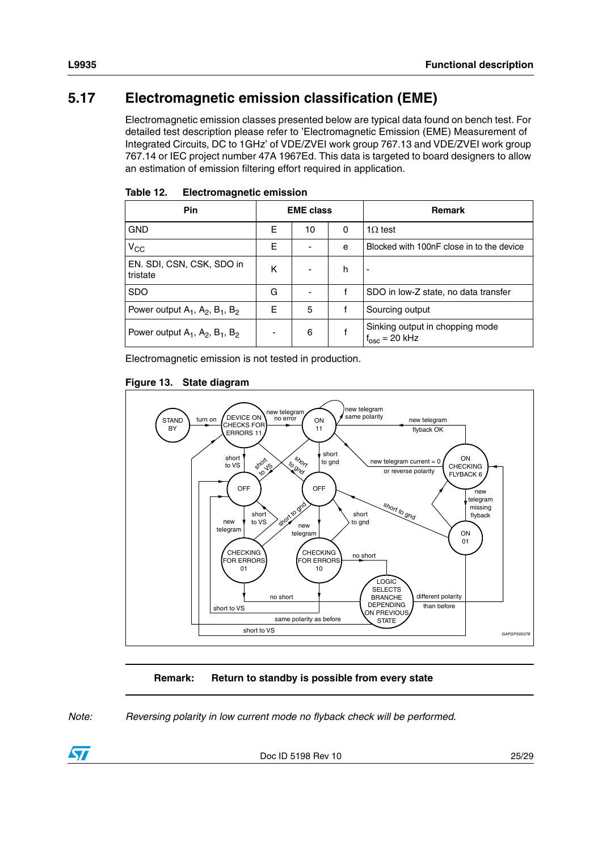## <span id="page-24-0"></span>**5.17 Electromagnetic emission classification (EME)**

Electromagnetic emission classes presented below are typical data found on bench test. For detailed test description please refer to 'Electromagnetic Emission (EME) Measurement of Integrated Circuits, DC to 1GHz' of VDE/ZVEI work group 767.13 and VDE/ZVEI work group 767.14 or IEC project number 47A 1967Ed. This data is targeted to board designers to allow an estimation of emission filtering effort required in application.

| Pin                                        |                          | <b>EME class</b> |   | <b>Remark</b>                                             |  |  |
|--------------------------------------------|--------------------------|------------------|---|-----------------------------------------------------------|--|--|
| <b>GND</b>                                 | Е                        | 10               | 0 | $1\Omega$ test                                            |  |  |
| $V_{\rm CC}$                               | Е                        |                  | e | Blocked with 100nF close in to the device                 |  |  |
| EN. SDI, CSN, CSK, SDO in<br>tristate      | ĸ                        |                  | h | ٠                                                         |  |  |
| <b>SDO</b>                                 | G                        |                  |   | SDO in low-Z state, no data transfer                      |  |  |
| Power output $A_1$ , $A_2$ , $B_1$ , $B_2$ | F                        | 5                |   | Sourcing output                                           |  |  |
| Power output $A_1$ , $A_2$ , $B_1$ , $B_2$ | $\overline{\phantom{0}}$ | 6                |   | Sinking output in chopping mode<br>$f_{\rm osc}$ = 20 kHz |  |  |

<span id="page-24-1"></span>Table 12. **Electromagnetic emission** 

Electromagnetic emission is not tested in production.

#### <span id="page-24-2"></span>**Figure 13. State diagram**



#### **Remark: Return to standby is possible from every state**

*Note: Reversing polarity in low current mode no flyback check will be performed.*



Doc ID 5198 Rev 10 25/29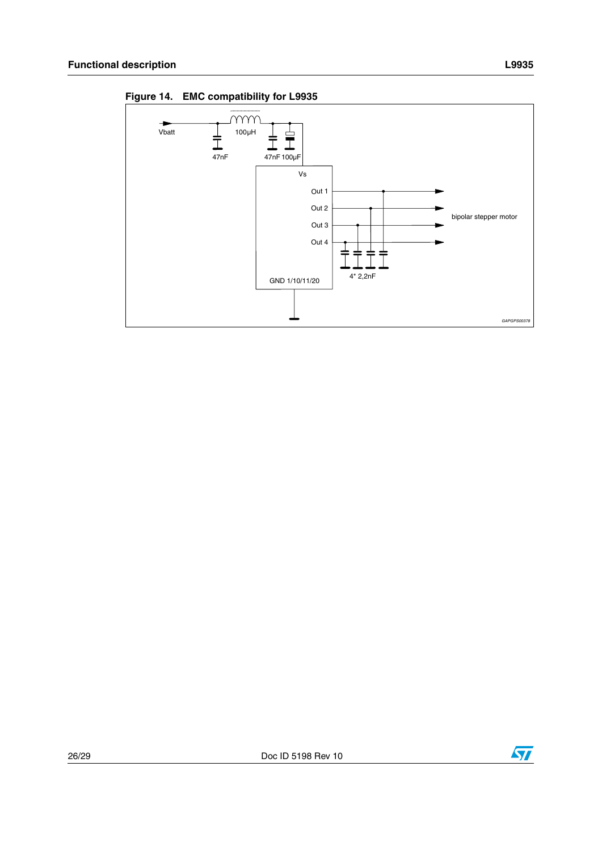$\rightarrow$ 

Vbatt



<span id="page-25-0"></span>Figure 14. EMC compatibility for L9935

 $\frac{1}{\frac{1}{47nF}}$ 

mm

 $100\mu H$ 

Out 2

Out  $3$ Out 4

GND 1/10/11/20

 $4*2,2nF$ 



bipolar stepper motor

GAPGPS0037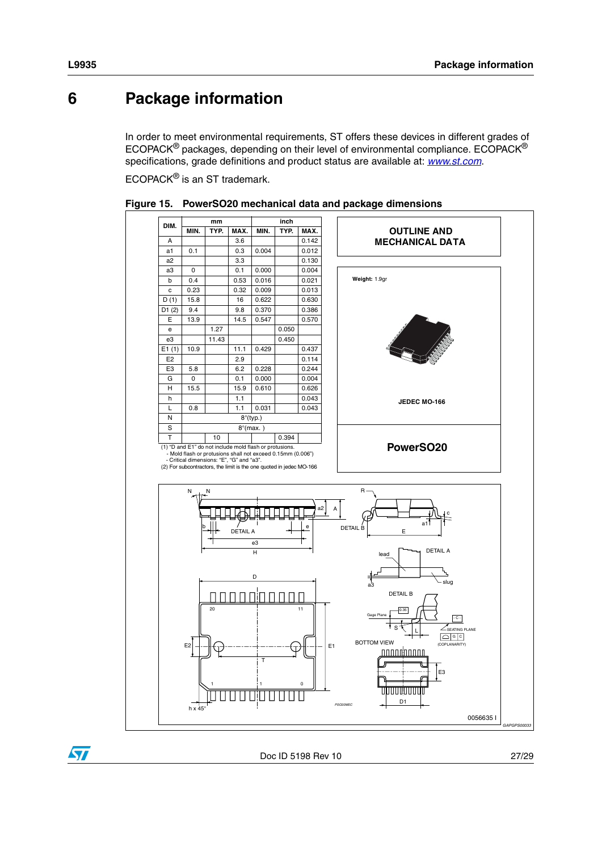#### <span id="page-26-0"></span>**Package information** 6

In order to meet environmental requirements, ST offers these devices in different grades of ECOPACK<sup>®</sup> packages, depending on their level of environmental compliance. ECOPACK<sup>®</sup> specifications, grade definitions and product status are available at: www.st.com.

ECOPACK® is an ST trademark.



<span id="page-26-1"></span>

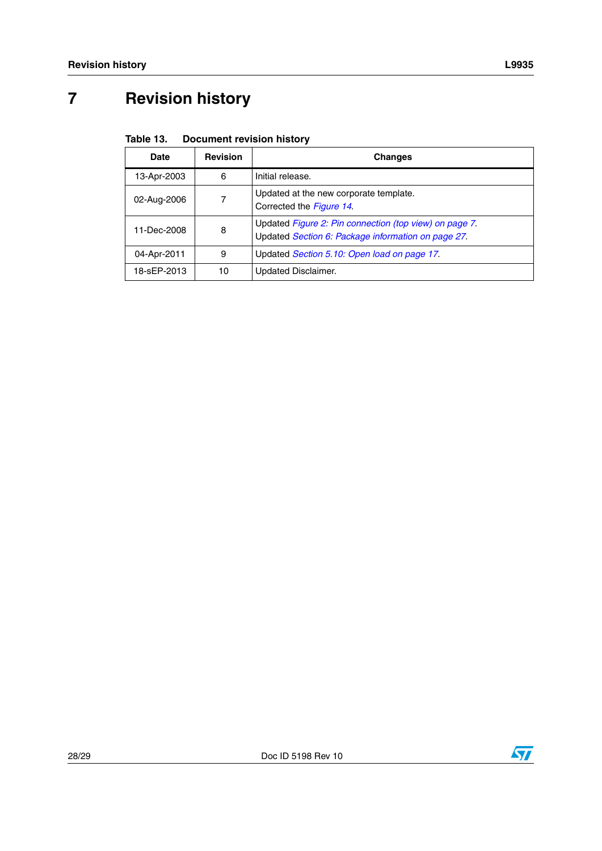# <span id="page-27-0"></span>**7 Revision history**

#### <span id="page-27-1"></span>Table 13. **Document revision history**

| Date        | <b>Revision</b> | <b>Changes</b>                                                                                               |
|-------------|-----------------|--------------------------------------------------------------------------------------------------------------|
| 13-Apr-2003 | 6               | Initial release.                                                                                             |
| 02-Aug-2006 | 7               | Updated at the new corporate template.<br>Corrected the Figure 14.                                           |
| 11-Dec-2008 | 8               | Updated Figure 2: Pin connection (top view) on page 7.<br>Updated Section 6: Package information on page 27. |
| 04-Apr-2011 | 9               | Updated Section 5.10: Open load on page 17.                                                                  |
| 18-sEP-2013 | 10              | Updated Disclaimer.                                                                                          |